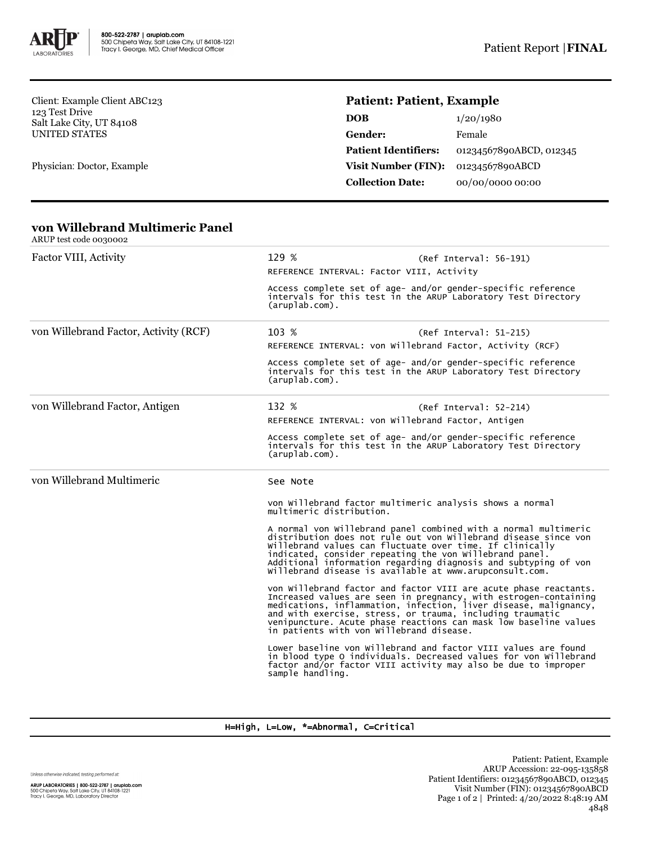

Client: Example Client ABC123 123 Test Drive Salt Lake City, UT 84108 UNITED STATES

Physician: Doctor, Example

# **Patient: Patient, Example**

| DOB                         | 1/20/1980               |
|-----------------------------|-------------------------|
| Gender:                     | Female                  |
| <b>Patient Identifiers:</b> | 01234567890ABCD, 012345 |
| Visit Number (FIN):         | 01234567890ABCD         |
| <b>Collection Date:</b>     | 00/00/0000 00:00        |

#### **von Willebrand Multimeric Panel** ARUP test code 0030002

| ANUE TEST COUT OU JUDIZ               |                                                                                                                                                                                                                                                                                                                                                                                         |  |  |  |
|---------------------------------------|-----------------------------------------------------------------------------------------------------------------------------------------------------------------------------------------------------------------------------------------------------------------------------------------------------------------------------------------------------------------------------------------|--|--|--|
| Factor VIII, Activity                 | 129 %<br>(Ref Interval: 56-191)                                                                                                                                                                                                                                                                                                                                                         |  |  |  |
|                                       | REFERENCE INTERVAL: Factor VIII, Activity                                                                                                                                                                                                                                                                                                                                               |  |  |  |
|                                       | Access complete set of age- and/or gender-specific reference<br>intervals for this test in the ARUP Laboratory Test Directory<br>$(\text{arublab.com})$ .                                                                                                                                                                                                                               |  |  |  |
| von Willebrand Factor, Activity (RCF) | 103 %<br>(Ref Interval: 51-215)                                                                                                                                                                                                                                                                                                                                                         |  |  |  |
|                                       | REFERENCE INTERVAL: von Willebrand Factor, Activity (RCF)                                                                                                                                                                                                                                                                                                                               |  |  |  |
|                                       | Access complete set of age- and/or gender-specific reference<br>intervals for this test in the ARUP Laboratory Test Directory<br>$(\text{aruplab.com})$ .                                                                                                                                                                                                                               |  |  |  |
| von Willebrand Factor, Antigen        | 132 %<br>$(Ref Interval: 52-214)$                                                                                                                                                                                                                                                                                                                                                       |  |  |  |
|                                       | REFERENCE INTERVAL: von Willebrand Factor, Antigen                                                                                                                                                                                                                                                                                                                                      |  |  |  |
|                                       | Access complete set of age- and/or gender-specific reference<br>intervals for this test in the ARUP Laboratory Test Directory<br>$(\text{aruplab.com})$ .                                                                                                                                                                                                                               |  |  |  |
| von Willebrand Multimeric             | See Note                                                                                                                                                                                                                                                                                                                                                                                |  |  |  |
|                                       | von willebrand factor multimeric analysis shows a normal<br>multimeric distribution.                                                                                                                                                                                                                                                                                                    |  |  |  |
|                                       | A normal von Willebrand panel combined with a normal multimeric<br>distribution does not rule out von Willebrand disease since von<br>willebrand values can fluctuate over time. If clinically<br>indicated, consider repeating the von willebrand panel.<br>Additional information regarding diagnosis and subtyping of von<br>willebrand disease is available at www.arupconsult.com. |  |  |  |
|                                       | von Willebrand factor and factor VIII are acute phase reactants.<br>Increased values are seen in pregnancy, with estrogen-containing medications, inflammation, infection, liver disease, malignancy, and with exercise, stress, or trauma, including traumatic<br>venipuncture. Acute phase reactions can mask low baseline values<br>in patients with von Willebrand disease.         |  |  |  |
|                                       | Lower baseline von Willebrand and factor VIII values are found<br>in blood type O individuals. Decreased values for von Willebrand<br>factor and/or factor VIII activity may also be due to improper<br>sample handling.                                                                                                                                                                |  |  |  |

### H=High, L=Low, \*=Abnormal, C=Critical